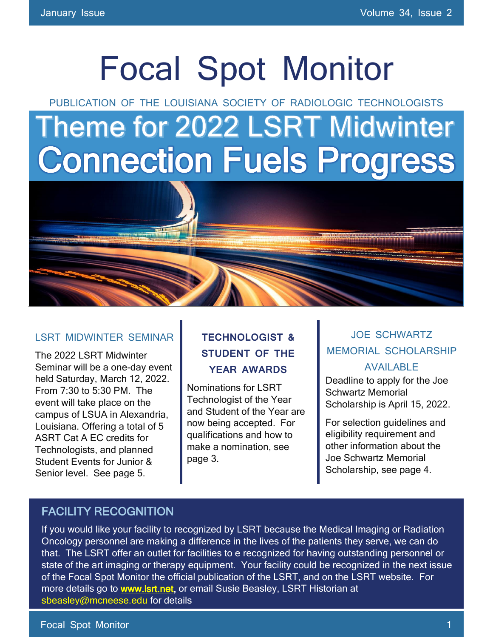# Focal Spot Monitor

PUBLICATION OF THE LOUISIANA SOCIETY OF RADIOLOGIC TECHNOLOGISTS

# **Theme for 2022 LSRT Midwinter** Connection Fuels Progress



#### LSRT MIDWINTER SEMINAR

The 2022 LSRT Midwinter Seminar will be a one-day event held Saturday, March 12, 2022. From 7:30 to 5:30 PM. The event will take place on the campus of LSUA in Alexandria, Louisiana. Offering a total of 5 ASRT Cat A EC credits for Technologists, and planned Student Events for Junior & Senior level. See page 5.

### **TECHNOLOGIST & STUDENT OF THE YEAR AWARDS**

Nominations for LSRT Technologist of the Year and Student of the Year are now being accepted. For qualifications and how to make a nomination, see page 3.

### JOE SCHWARTZ MEMORIAL SCHOLARSHIP

#### AVAILABLE

Deadline to apply for the Joe Schwartz Memorial Scholarship is April 15, 2022.

For selection guidelines and eligibility requirement and other information about the Joe Schwartz Memorial Scholarship, see page 4.

### FACILITY RECOGNITION

If you would like your facility to recognized by LSRT because the Medical Imaging or Radiation Oncology personnel are making a difference in the lives of the patients they serve, we can do that. The LSRT offer an outlet for facilities to e recognized for having outstanding personnel or state of the art imaging or therapy equipment. Your facility could be recognized in the next issue of the Focal Spot Monitor the official publication of the LSRT, and on the LSRT website. For more details go to **www.lsrt.net**, or email Susie Beasley, LSRT Historian at [sbeasley@mcneese.edu](mailto:sbeasley@mcneese.edu) for details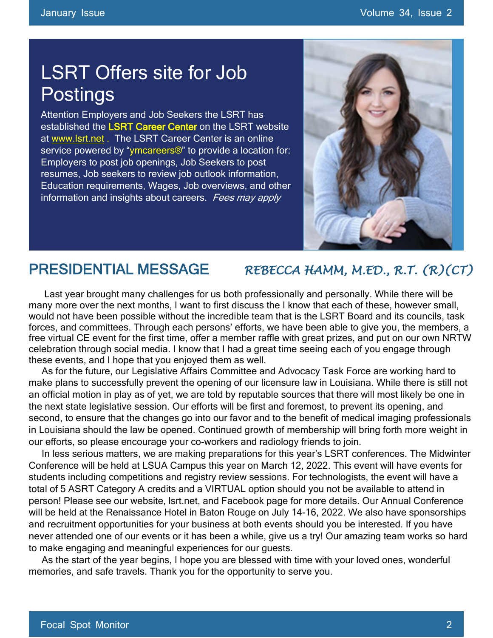### LSRT Offers site for Job Postings

Attention Employers and Job Seekers the LSRT has established the LSRT Career Center on the LSRT website at [www.lsrt.net](http://www.lsrt.net/) . The LSRT Career Center is an online service powered by "ymcareers<sup>®</sup>" to provide a location for: Employers to post job openings, Job Seekers to post resumes, Job seekers to review job outlook information, Education requirements, Wages, Job overviews, and other information and insights about careers. Fees may apply



### PRESIDENTIAL MESSAGE *REBECCA HAMM, M.ED., R.T. (R)(CT)*

 Last year brought many challenges for us both professionally and personally. While there will be many more over the next months, I want to first discuss the I know that each of these, however small, would not have been possible without the incredible team that is the LSRT Board and its councils, task forces, and committees. Through each persons' efforts, we have been able to give you, the members, a free virtual CE event for the first time, offer a member raffle with great prizes, and put on our own NRTW celebration through social media. I know that I had a great time seeing each of you engage through these events, and I hope that you enjoyed them as well.

 As for the future, our Legislative Affairs Committee and Advocacy Task Force are working hard to make plans to successfully prevent the opening of our licensure law in Louisiana. While there is still not an official motion in play as of yet, we are told by reputable sources that there will most likely be one in the next state legislative session. Our efforts will be first and foremost, to prevent its opening, and second, to ensure that the changes go into our favor and to the benefit of medical imaging professionals in Louisiana should the law be opened. Continued growth of membership will bring forth more weight in our efforts, so please encourage your co-workers and radiology friends to join.

 In less serious matters, we are making preparations for this year's LSRT conferences. The Midwinter Conference will be held at LSUA Campus this year on March 12, 2022. This event will have events for students including competitions and registry review sessions. For technologists, the event will have a total of 5 ASRT Category A credits and a VIRTUAL option should you not be available to attend in person! Please see our website, lsrt.net, and Facebook page for more details. Our Annual Conference will be held at the Renaissance Hotel in Baton Rouge on July 14-16, 2022. We also have sponsorships and recruitment opportunities for your business at both events should you be interested. If you have never attended one of our events or it has been a while, give us a try! Our amazing team works so hard to make engaging and meaningful experiences for our guests.

 As the start of the year begins, I hope you are blessed with time with your loved ones, wonderful memories, and safe travels. Thank you for the opportunity to serve you.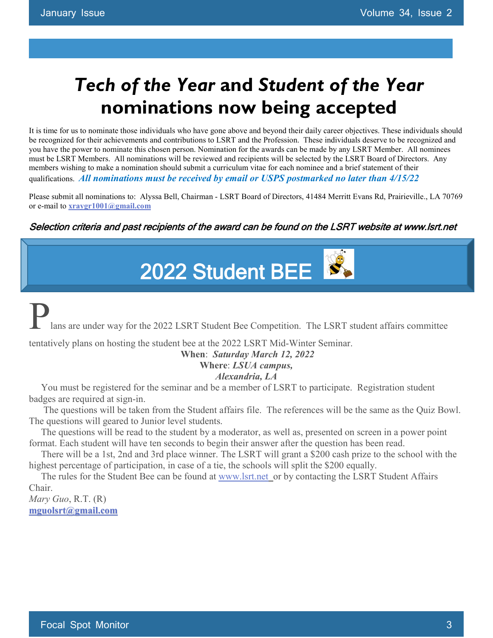## *Tech of the Year* **and** *Student of the Year*  **nominations now being accepted**

It is time for us to nominate those individuals who have gone above and beyond their daily career objectives. These individuals should be recognized for their achievements and contributions to LSRT and the Profession. These individuals deserve to be recognized and you have the power to nominate this chosen person. Nomination for the awards can be made by any LSRT Member. All nominees must be LSRT Members. All nominations will be reviewed and recipients will be selected by the LSRT Board of Directors. Any members wishing to make a nomination should submit a curriculum vitae for each nominee and a brief statement of their qualifications. *All nominations must be received by email or USPS postmarked no later than 4/15/22*

Please submit all nominations to: Alyssa Bell, Chairman - LSRT Board of Directors, 41484 Merritt Evans Rd, Prairieville., LA 70769 or e-mail to **[xraygr1001@gmail.com](mailto:xraygr1001@gmail.com)**

#### Selection criteria and past recipients of the award can be found on the LSRT website at www.lsrt.net

2022 Student BEE

lans are under way for the 2022 LSRT Student Bee Competition. The LSRT student affairs committee tentatively plans on hosting the student bee at the 2022 LSRT Mid-Winter Seminar.

#### **When**: *Saturday March 12, 2022* **Where**: *LSUA campus, Alexandria, LA*

 You must be registered for the seminar and be a member of LSRT to participate. Registration student badges are required at sign-in.

 The questions will be taken from the Student affairs file. The references will be the same as the Quiz Bowl. The questions will geared to Junior level students.

 The questions will be read to the student by a moderator, as well as, presented on screen in a power point format. Each student will have ten seconds to begin their answer after the question has been read.

 There will be a 1st, 2nd and 3rd place winner. The LSRT will grant a \$200 cash prize to the school with the highest percentage of participation, in case of a tie, the schools will split the \$200 equally.

The rules for the Student Bee can be found at [www.lsrt.net](http://www.lsrt.net/) or by contacting the LSRT Student Affairs Chair.

*Mary Guo*, R.T. (R) **[mguolsrt@gmail.com](mailto:mguolsrt@gmail.com)**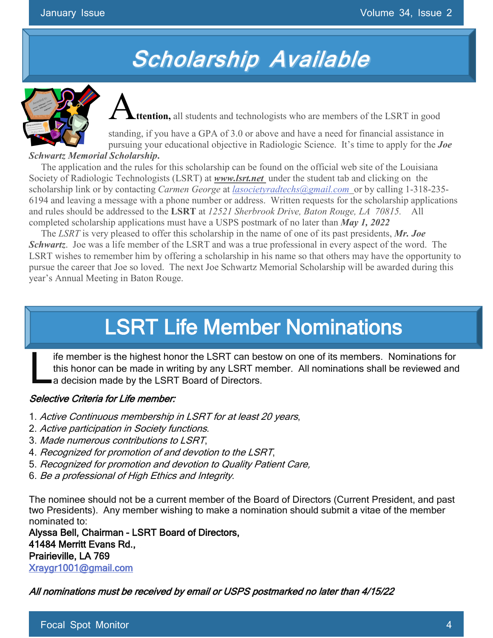# **Scholarship Available**



**ttention,** all students and technologists who are members of the LSRT in good

standing, if you have a GPA of 3.0 or above and have a need for financial assistance in pursuing your educational objective in Radiologic Science. It's time to apply for the *Joe Schwartz Memorial Scholarship***.** 

 The application and the rules for this scholarship can be found on the official web site of the Louisiana Society of Radiologic Technologists (LSRT) at *www.lsrt.net* under the student tab and clicking on the scholarship link or by contacting *Carmen George* at *[lasocietyradtechs@gmail.com](mailto:lasocietyradtechs@gmail.com)* or by calling 1-318-235- 6194 and leaving a message with a phone number or address. Written requests for the scholarship applications and rules should be addressed to the **LSRT** at *12521 Sherbrook Drive, Baton Rouge, LA 70815.* All completed scholarship applications must have a USPS postmark of no later than *May 1, 2022*

 The *LSRT* is very pleased to offer this scholarship in the name of one of its past presidents, *Mr. Joe Schwartz*. Joe was a life member of the LSRT and was a true professional in every aspect of the word. The LSRT wishes to remember him by offering a scholarship in his name so that others may have the opportunity to pursue the career that Joe so loved. The next Joe Schwartz Memorial Scholarship will be awarded during this year's Annual Meeting in Baton Rouge.

# LSRT Life Member Nominations

ife member is the highest honor the LSRT can bestow on one of its members. Nominations for this honor can be made in writing by any LSRT member. All nominations shall be reviewed and a decision made by the LSRT Board of Directors. L

#### Selective Criteria for Life member:

- 1. Active Continuous membership in LSRT for at least 20 years,
- 2. Active participation in Society functions.
- 3. Made numerous contributions to LSRT,
- 4. Recognized for promotion of and devotion to the LSRT,
- 5. Recognized for promotion and devotion to Quality Patient Care,
- 6. Be a professional of High Ethics and Integrity.

The nominee should not be a current member of the Board of Directors (Current President, and past two Presidents). Any member wishing to make a nomination should submit a vitae of the member nominated to:

Alyssa Bell, Chairman - LSRT Board of Directors, 41484 Merritt Evans Rd., Prairieville, LA 769 [Xraygr1001@gmail.com](mailto:Xraygr1001@gmail.com) 

All nominations must be received by email or USPS postmarked no later than 4/15/22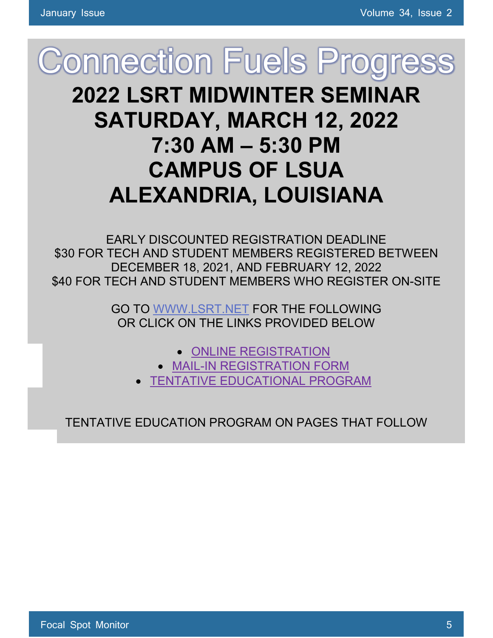# **Connection Fuels Progress 2022 LSRT MIDWINTER SEMINAR SATURDAY, MARCH 12, 2022 7:30 AM – 5:30 PM CAMPUS OF LSUA ALEXANDRIA, LOUISIANA**

EARLY DISCOUNTED REGISTRATION DEADLINE \$30 FOR TECH AND STUDENT MEMBERS REGISTERED BETWEEN DECEMBER 18, 2021, AND FEBRUARY 12, 2022 \$40 FOR TECH AND STUDENT MEMBERS WHO REGISTER ON-SITE

> GO TO [WWW.LSRT.NET](http://www.lsrt.net/) FOR THE FOLLOWING OR CLICK ON THE LINKS PROVIDED BELOW

- [ONLINE REGISTRATION](https://www.memberplanet.com/events/lolsrtuisianasocietyofradiologictechnologistspointtrackertestgroup/lsrt2022midwinterseminar)
- [MAIL-IN REGISTRATION](http://www.lsrt.net/wp-content/uploads/2021/11/2022-LSRT-Midwinter-Seminar-Registration-Form-March-12-2022-1.pdf) FORM
- [TENTATIVE EDUCATIONAL PROGRAM](http://www.lsrt.net/wp-content/uploads/2021/11/LSRT-2022-Midwinter-Program-Final-March-12-2022-1.pdf)

TENTATIVE EDUCATION PROGRAM ON PAGES THAT FOLLOW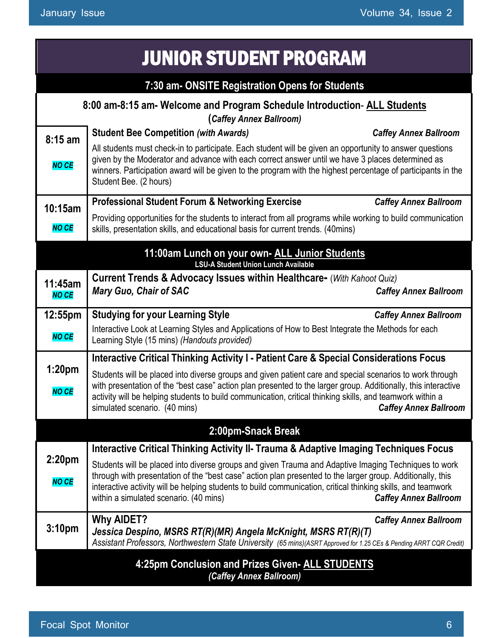#### JUNIOR STUDENT PROGRAM **7:30 am- ONSITE Registration Opens for Students 8:00 am-8:15 am- Welcome and Program Schedule Introduction**- **ALL Students (***Caffey Annex Ballroom)* **8:15 am** *NO CE* **Student Bee Competition** *(with Awards) Caffey Annex Ballroom* All students must check-in to participate. Each student will be given an opportunity to answer questions given by the Moderator and advance with each correct answer until we have 3 places determined as winners. Participation award will be given to the program with the highest percentage of participants in the Student Bee. (2 hours) **10:15am** *NO CE* **Professional Student Forum & Networking Exercise** *Caffey Annex Ballroom* Providing opportunities for the students to interact from all programs while working to build communication skills, presentation skills, and educational basis for current trends. (40mins) **11:00am Lunch on your own- ALL Junior Students LSU-A Student Union Lunch Available 11:45am** *NO CE* **Current Trends & Advocacy Issues within Healthcare-** (*With Kahoot Quiz) Mary Guo, Chair of SAC Caffey Annex Ballroom* **12:55pm** *NO CE* **Studying for your Learning Style** *Caffey Annex Ballroom* Interactive Look at Learning Styles and Applications of How to Best Integrate the Methods for each Learning Style (15 mins) *(Handouts provided)* **1:20pm** *NO CE* **Interactive Critical Thinking Activity I - Patient Care & Special Considerations Focus** Students will be placed into diverse groups and given patient care and special scenarios to work through with presentation of the "best case" action plan presented to the larger group. Additionally, this interactive activity will be helping students to build communication, critical thinking skills, and teamwork within a simulated scenario. (40 mins) *Caffey Annex Ballroom* **2:00pm-Snack Break 2:20pm** *NO CE* **Interactive Critical Thinking Activity II- Trauma & Adaptive Imaging Techniques Focus** Students will be placed into diverse groups and given Trauma and Adaptive Imaging Techniques to work through with presentation of the "best case" action plan presented to the larger group. Additionally, this interactive activity will be helping students to build communication, critical thinking skills, and teamwork within a simulated scenario. (40 mins) *Caffey Annex Ballroom* **3:10pm Why AIDET?** *Caffey Annex Ballroom Jessica Despino, MSRS RT(R)(MR) Angela McKnight, MSRS RT(R)(T)* Assistant Professors, Northwestern State University (65 mins)(ASRT Approved for 1.25 CEs & Pending ARRT CQR Credit) **4:25pm Conclusion and Prizes Given- ALL STUDENTS** *(Caffey Annex Ballroom)*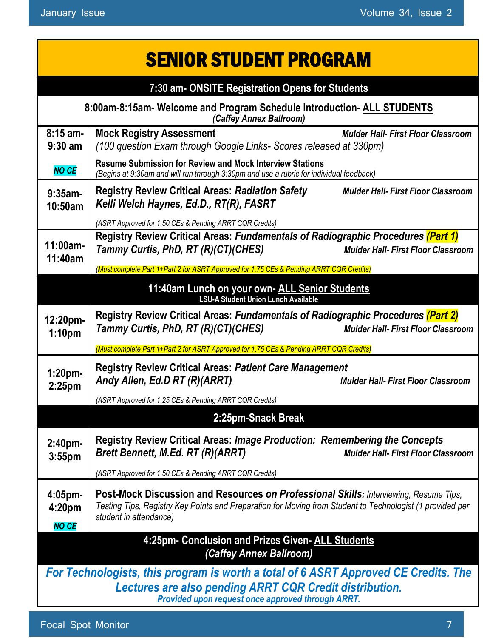| <b>SENIOR STUDENT PROGRAM</b>                                                                                                                                                                       |                                                                                                                                                                                                                                                                                                                            |  |
|-----------------------------------------------------------------------------------------------------------------------------------------------------------------------------------------------------|----------------------------------------------------------------------------------------------------------------------------------------------------------------------------------------------------------------------------------------------------------------------------------------------------------------------------|--|
| 7:30 am- ONSITE Registration Opens for Students                                                                                                                                                     |                                                                                                                                                                                                                                                                                                                            |  |
| 8:00am-8:15am- Welcome and Program Schedule Introduction- ALL STUDENTS<br>(Caffey Annex Ballroom)                                                                                                   |                                                                                                                                                                                                                                                                                                                            |  |
| $8:15$ am-<br>$9:30$ am                                                                                                                                                                             | <b>Mock Registry Assessment</b><br><b>Mulder Hall- First Floor Classroom</b><br>(100 question Exam through Google Links- Scores released at 330pm)                                                                                                                                                                         |  |
| <b>NO CE</b>                                                                                                                                                                                        | <b>Resume Submission for Review and Mock Interview Stations</b><br>(Begins at 9:30am and will run through 3:30pm and use a rubric for individual feedback)                                                                                                                                                                 |  |
| $9:35$ am-<br>10:50am                                                                                                                                                                               | <b>Registry Review Critical Areas: Radiation Safety</b><br><b>Mulder Hall- First Floor Classroom</b><br>Kelli Welch Haynes, Ed.D., RT(R), FASRT                                                                                                                                                                            |  |
| $11:00am -$<br>11:40am                                                                                                                                                                              | (ASRT Approved for 1.50 CEs & Pending ARRT CQR Credits)<br>Registry Review Critical Areas: Fundamentals of Radiographic Procedures (Part 1)<br>Tammy Curtis, PhD, RT (R)(CT)(CHES)<br><b>Mulder Hall- First Floor Classroom</b><br>(Must complete Part 1+Part 2 for ASRT Approved for 1.75 CEs & Pending ARRT CQR Credits) |  |
|                                                                                                                                                                                                     | 11:40am Lunch on your own- ALL Senior Students<br><b>LSU-A Student Union Lunch Available</b>                                                                                                                                                                                                                               |  |
| 12:20pm-<br>1:10 <sub>pm</sub>                                                                                                                                                                      | Registry Review Critical Areas: Fundamentals of Radiographic Procedures (Part 2)<br>Tammy Curtis, PhD, RT (R)(CT)(CHES)<br><b>Mulder Hall- First Floor Classroom</b>                                                                                                                                                       |  |
|                                                                                                                                                                                                     | (Must complete Part 1+Part 2 for ASRT Approved for 1.75 CEs & Pending ARRT CQR Credits)                                                                                                                                                                                                                                    |  |
| $1:20$ pm-<br>2:25 <sub>pm</sub>                                                                                                                                                                    | <b>Registry Review Critical Areas: Patient Care Management</b><br>Andy Allen, Ed.D RT (R)(ARRT)<br><b>Mulder Hall- First Floor Classroom</b>                                                                                                                                                                               |  |
|                                                                                                                                                                                                     | (ASRT Approved for 1.25 CEs & Pending ARRT CQR Credits)                                                                                                                                                                                                                                                                    |  |
|                                                                                                                                                                                                     | 2:25pm-Snack Break                                                                                                                                                                                                                                                                                                         |  |
| 2:40 <sub>pm</sub><br>3:55 <sub>pm</sub>                                                                                                                                                            | <b>Registry Review Critical Areas: Image Production: Remembering the Concepts</b><br><b>Brett Bennett, M.Ed. RT (R)(ARRT)</b><br><b>Mulder Hall- First Floor Classroom</b>                                                                                                                                                 |  |
|                                                                                                                                                                                                     | (ASRT Approved for 1.50 CEs & Pending ARRT CQR Credits)                                                                                                                                                                                                                                                                    |  |
| $4:05$ pm-<br>4:20 <sub>pm</sub><br><b>NO CE</b>                                                                                                                                                    | Post-Mock Discussion and Resources on Professional Skills: Interviewing, Resume Tips,<br>Testing Tips, Registry Key Points and Preparation for Moving from Student to Technologist (1 provided per<br>student in attendance)                                                                                               |  |
| 4:25pm- Conclusion and Prizes Given- ALL Students<br>(Caffey Annex Ballroom)                                                                                                                        |                                                                                                                                                                                                                                                                                                                            |  |
| For Technologists, this program is worth a total of 6 ASRT Approved CE Credits. The<br>Lectures are also pending ARRT CQR Credit distribution.<br>Provided upon request once approved through ARRT. |                                                                                                                                                                                                                                                                                                                            |  |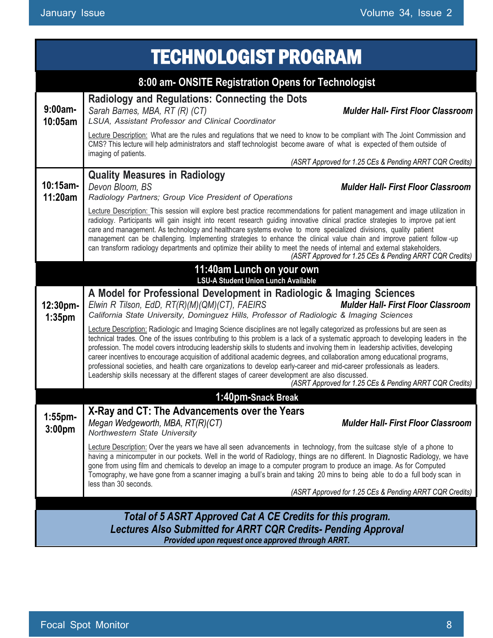| <b>TECHNOLOGIST PROGRAM</b>                                                                                                                                                               |                                                                                                                                                                                                                                                                                                                                                                                                                                                                                                                                                                                                                                                                                                                                                         |  |
|-------------------------------------------------------------------------------------------------------------------------------------------------------------------------------------------|---------------------------------------------------------------------------------------------------------------------------------------------------------------------------------------------------------------------------------------------------------------------------------------------------------------------------------------------------------------------------------------------------------------------------------------------------------------------------------------------------------------------------------------------------------------------------------------------------------------------------------------------------------------------------------------------------------------------------------------------------------|--|
|                                                                                                                                                                                           | 8:00 am- ONSITE Registration Opens for Technologist                                                                                                                                                                                                                                                                                                                                                                                                                                                                                                                                                                                                                                                                                                     |  |
| $9:00am -$<br>10:05am                                                                                                                                                                     | <b>Radiology and Regulations: Connecting the Dots</b><br>Sarah Barnes, MBA, RT (R) (CT)<br><b>Mulder Hall- First Floor Classroom</b><br>LSUA, Assistant Professor and Clinical Coordinator                                                                                                                                                                                                                                                                                                                                                                                                                                                                                                                                                              |  |
|                                                                                                                                                                                           | Lecture Description: What are the rules and regulations that we need to know to be compliant with The Joint Commission and<br>CMS? This lecture will help administrators and staff technologist become aware of what is expected of them outside of<br>imaging of patients.                                                                                                                                                                                                                                                                                                                                                                                                                                                                             |  |
|                                                                                                                                                                                           | (ASRT Approved for 1.25 CEs & Pending ARRT CQR Credits)                                                                                                                                                                                                                                                                                                                                                                                                                                                                                                                                                                                                                                                                                                 |  |
| $10:15$ am-<br>11:20am                                                                                                                                                                    | <b>Quality Measures in Radiology</b><br>Devon Bloom, BS<br><b>Mulder Hall- First Floor Classroom</b><br>Radiology Partners; Group Vice President of Operations                                                                                                                                                                                                                                                                                                                                                                                                                                                                                                                                                                                          |  |
|                                                                                                                                                                                           | Lecture Description: This session will explore best practice recommendations for patient management and image utilization in<br>radiology. Participants will gain insight into recent research guiding innovative clinical practice strategies to improve patient<br>care and management. As technology and healthcare systems evolve to more specialized divisions, quality patient<br>management can be challenging. Implementing strategies to enhance the clinical value chain and improve patient follow-up<br>can transform radiology departments and optimize their ability to meet the needs of internal and external stakeholders.<br>(ASRT Approved for 1.25 CEs & Pending ARRT CQR Credits)                                                  |  |
|                                                                                                                                                                                           | 11:40am Lunch on your own<br><b>LSU-A Student Union Lunch Available</b>                                                                                                                                                                                                                                                                                                                                                                                                                                                                                                                                                                                                                                                                                 |  |
| 12:30pm-<br>1:35 <sub>pm</sub>                                                                                                                                                            | A Model for Professional Development in Radiologic & Imaging Sciences<br>Elwin R Tilson, EdD, RT(R)(M)(QM)(CT), FAEIRS<br><b>Mulder Hall- First Floor Classroom</b><br>California State University, Dominguez Hills, Professor of Radiologic & Imaging Sciences                                                                                                                                                                                                                                                                                                                                                                                                                                                                                         |  |
|                                                                                                                                                                                           | Lecture Description: Radiologic and Imaging Science disciplines are not legally categorized as professions but are seen as<br>technical trades. One of the issues contributing to this problem is a lack of a systematic approach to developing leaders in the<br>profession. The model covers introducing leadership skills to students and involving them in leadership activities, developing<br>career incentives to encourage acquisition of additional academic degrees, and collaboration among educational programs,<br>professional societies, and health care organizations to develop early-career and mid-career professionals as leaders.<br>Leadership skills necessary at the different stages of career development are also discussed. |  |
|                                                                                                                                                                                           | (ASRT Approved for 1.25 CEs & Pending ARRT CQR Credits)                                                                                                                                                                                                                                                                                                                                                                                                                                                                                                                                                                                                                                                                                                 |  |
|                                                                                                                                                                                           | 1:40pm-Snack Break<br>X-Ray and CT: The Advancements over the Years                                                                                                                                                                                                                                                                                                                                                                                                                                                                                                                                                                                                                                                                                     |  |
| 1:55pm-<br>3:00 <sub>pm</sub>                                                                                                                                                             | Megan Wedgeworth, MBA, RT(R)(CT)<br><b>Mulder Hall- First Floor Classroom</b><br>Northwestern State University                                                                                                                                                                                                                                                                                                                                                                                                                                                                                                                                                                                                                                          |  |
|                                                                                                                                                                                           | Lecture Description: Over the years we have all seen advancements in technology, from the suitcase style of a phone to<br>having a minicomputer in our pockets. Well in the world of Radiology, things are no different. In Diagnostic Radiology, we have<br>gone from using film and chemicals to develop an image to a computer program to produce an image. As for Computed<br>Tomography, we have gone from a scanner imaging a bull's brain and taking 20 mins to being able to do a full body scan in<br>less than 30 seconds.                                                                                                                                                                                                                    |  |
|                                                                                                                                                                                           | (ASRT Approved for 1.25 CEs & Pending ARRT CQR Credits)                                                                                                                                                                                                                                                                                                                                                                                                                                                                                                                                                                                                                                                                                                 |  |
| Total of 5 ASRT Approved Cat A CE Credits for this program.<br><b>Lectures Also Submitted for ARRT CQR Credits- Pending Approval</b><br>Provided upon request once approved through ARRT. |                                                                                                                                                                                                                                                                                                                                                                                                                                                                                                                                                                                                                                                                                                                                                         |  |